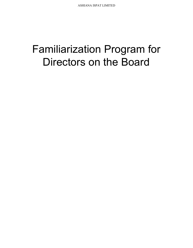# Familiarization Program for Directors on the Board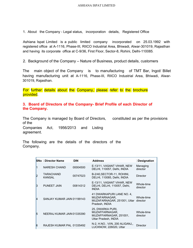1. About the Company - Legal status, incorporation details, Registered Office

Ashiana Ispat Limited is a public limited company incorporated on 25.03.1992 with registered office at A-1116, Phase-III, RIICO Industrial Area, Bhiwadi, Alwar-301019, Rajasthan and having its corporate office at C-9/36, First Floor, Sector-8, Rohini, Delhi-110085.

2. Background of the Company – Nature of Business, product details, customers

The main object of the Company is to manufacturing of TMT Bar, Ingot/ Billet having manufacturing unit at A-1116, Phase-III, RIICO Industrial Area, Bhiwadi, Alwar-301019, Rajasthan.

For further details about the Company, please refer to the brochure provided.

## **3. Board of Directors of the Company- Brief Profile of each Director of the Company.**

The Company is managed by Board of Directors, constituted as per the provisions of the Companies Act, 1956/2013 and Listing agreement.

The following are the details of the directors of the Company.

|    | <b>SNo ∏Director Name</b>         | ⊺DIN     | <b>Address</b>                                                                                       | <b>Designation</b>     |
|----|-----------------------------------|----------|------------------------------------------------------------------------------------------------------|------------------------|
|    | <b>NARESH CHAND</b>               | 00004500 | E-13/11, VASANT VIHAR, NEW<br>DELHI, 110057, Delhi, INDIA                                            | Managing<br>director   |
|    | <b>TARACHAND</b><br><b>KANSAL</b> | 00747023 | B-2/40, SECTOR-11, ROHINI,<br>DELHI, 110085, Delhi, INDIA                                            | Director               |
| 13 | <b>PUNEET JAIN</b>                | 00814312 | E-13/11, VASANT VIHAR, NEW<br>DELHI, DELHI, 110057, Delhi,<br><b>INDIA</b>                           | Whole-time<br>director |
| 14 | SANJAY KUMAR JAIN 01199143        |          | 41 DWARKAPURI LANE NO. 4.<br>MUZAFARNAGAR.<br>MUZAFARNAGAR, 251001, Uttar director<br>Pradesh, INDIA | Whole-time             |
| 15 | NEERAJ KUMAR JAIN 01335390        |          | 25, DWARKA PURI,<br>MUZAFFARNAGAR.<br>MUZAFFARNAGAR, 251001.<br>Uttar Pradesh, INDIA                 | Whole-time<br>director |
| 16 | RAJESH KUMAR PAL 01335492         |          | N-2, H.NO VI/N, 200 ALIGANJ.,<br>LUCKNOW, 226020, Uttar                                              | Director               |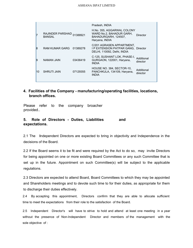|    |                                            |          | Pradesh. INDIA                                                                                        |                        |
|----|--------------------------------------------|----------|-------------------------------------------------------------------------------------------------------|------------------------|
| 17 | RAJINDER PARSHAD 01388921<br><b>BANSAL</b> |          | H.No. 355, AGGARWAL COLONY<br>WARD No.2. BAHADUR GARH.<br>BAHADURGARH, 124507.<br>Haryana, INDIA      | Director               |
| 18 | RAM KUMAR GARG                             | 01389278 | C/201 AGRASEN APPARTMENT,<br><b>IP EXTENSION PATPAR GANG. Director</b><br>DELHI, 110092, Delhi, INDIA |                        |
| 19 | NAMAN JAIN                                 | 03436419 | C-125, SUSHANT LOK, PHASE-I,<br>GURGAON, 122001, Haryana,<br><b>INDIA</b>                             | Additional<br>director |
| 10 | <b>SHRUTI JAIN</b>                         | 07129355 | HOUSE NO. 384, SECTOR-10,<br>PANCHKULA, 134109, Haryana,<br><b>INDIA</b>                              | Additional<br>director |

# **4. Facilities of the Company - manufacturing/operating facilities, locations, branch offices.**

Please refer to the company broacher provided..

## **5. Role of Directors - Duties, Liabilities and expectations.**

2.1 The **I**ndependent Directors are expected to bring in objectivity and Independence in the decisions of the Board.

2.2 If the Board seems it to be fit and were required by the Act to do so, may invite Directors for being appointed on one or more existing Board Committees or any such Committee that is set up in the future. Appointment on such Committee(s) will be subject to the applicable regulations.

2.3 Directors are expected to attend Board, Board Committees to which they may be appointed and Shareholders meetings and to devote such time to for their duties, as appropriate for them to discharge their duties effectively.

2.4 By accepting this appointment, Directors confirm that they are able to allocate sufficient time to meet the expectations from their role to the satisfaction of the Board.

2.5 Independent Director's will have to strive to hold and attend at least one meeting in a year without the presence of Non-Independent Director and members of the management with the sole objective of :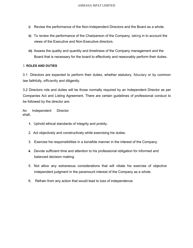- **i)** Review the performance of the Non-Independent Directors and the Board as a whole.
- **ii)** To review the performance of the Chairperson of the Company, taking in to account the views of the Executive and Non-Executive directors.
- **iii)** Assess the quality and quantity and timeliness of the Company management and the Board that is necessary for the board to effectively and reasonably perform their duties.

#### 3. **ROLES AND DUTIES**

3.1 Directors are expected to perform their duties, whether statutory, fiduciary or by common law faithfully, efficiently and diligently.

3.2 Directors role and duties will be those normally required by an Independent Director as per Companies Act and Listing Agreement. There are certain guidelines of professional conduct to be followed by the director are:

An Independent Director shall,

- **1.** Uphold ethical standards of integrity and probity.
- 2. Act objectively and constructively while exercising his duties.
- 3. Exercise his responsibilities in a bonafide manner in the interest of the Company.
- **4.** Devote sufficient time and attention to his professional obligation for informed and balanced decision making.
- 5. Not allow any extraneous considerations that will vitiate his exercise of objective independent judgment in the paramount interest of the Company as a whole.
- 6. Refrain from any action that would lead to loss of independence.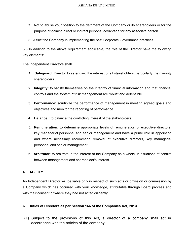- **7.** Not to abuse your position to the detriment of the Company or its shareholders or for the purpose of gaining direct or indirect personal advantage for any associate person.
- 8. Assist the Company in implementing the best Corporate Governance practices.

3.3 In addition to the above requirement applicable, the role of the Director have the following key elements:

The Independent Directors shall:

- **1. Safeguard:** Director to safeguard the interest of all stakeholders, particularly the minority shareholders.
- **2. Integrity:** to satisfy themselves on the integrity of financial information and that financial controls and the system of risk management are robust and defensible
- **3. Performance:** scrutinize the performance of management in meeting agreed goals and objectives and monitor the reporting of performance.
- **4. Balance::** to balance the conflicting interest of the stakeholders.
- **5. Remuneration:** to determine appropriate levels of remuneration of executive directors, key managerial personnel and senior management and have a prime role in appointing and where necessary recommend removal of executive directors, key managerial personnel and senior management.
- **6. Arbitrator:** to arbitrate in the interest of the Company as a whole, in situations of conflict between management and shareholder's interest.

### **4. LIABILITY**

An Independent Director will be liable only in respect of such acts or omission or commission by a Company which has occurred with your knowledge, attributable through Board process and with their consent or where they had not acted diligently.

### **6. Duties of Directors as per Section 166 of the Companies Act, 2013.**

(1) Subject to the provisions of this Act, a director of a company shall act in accordance with the articles of the company.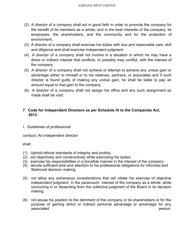- (2) A director of a company shall act in good faith in order to promote the company for the benefit of its members as a whole, and in the best interests of the company, its employees, the shareholders, and the community and for the protection of environment.
- (3) A director of a company shall exercise his duties with due and reasonable care, skill and diligence and shall exercise independent judgment.
- (4) A director of a company shall not involve in a situation in which he may have a direct or indirect interest that conflicts, or possibly may conflict, with the interest of the company.
- (5) A director of a company shall not achieve or attempt to achieve any undue gain or advantage either to himself or to his relatives, partners, or associates and if such director is found guilty of making any undue gain, he shall be liable to pay an amount equal to that gain to the company.
- (6) A director of a company shall not assign his office and any such assignment so made shall be void.

# **7. Code for Independent Directors as per Schedule IV to the Companies Act, 2013.**

I. Guidelines of professional

conduct: An independent director

shall:

- (1) Uphold ethical standards of integrity and probity;
- (2) act objectively and constructively while exercising his duties;
- (3) exercise his responsibilities in a bonafide manner in the interest of the company;
- (4) devote sufficient time and attention to his professional obligations for informed and Balanced decision making;
- (5) not allow any extraneous considerations that will vitiate his exercise of objective independent judgment in the paramount interest of the company as a whole, while concurring in or dissenting from the collective judgment of the Board in its decision making;
- (6) not abuse his position to the detriment of the company or its shareholders or for the purpose of gaining direct or indirect personal advantage or advantage for any associated person;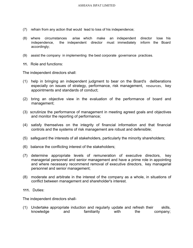- (7) refrain from any action that would lead to loss of his independence;
- (8) where circumstances arise which make an independent director lose his independence, the independent director must immediately inform the Board accordingly;
- (9) assist the company in implementing the best corporate governance practices.
- **11.** Role and functions:

The independent directors shall:

- (1) help in bringing an independent judgment to bear on the Board's deliberations especially on issues of strategy, performance, risk management, resources, key appointments and standards of conduct;
- (2) bring an objective view in the evaluation of the performance of board and management;
- (3) scrutinize the performance of management in meeting agreed goals and objectives and monitor the reporting of performance;
- (4) satisfy themselves on the integrity of financial information and that financial controls and the systems of risk management are robust and defensible;
- (5) safeguard the interests of all stakeholders, particularly the minority shareholders;
- (6) balance the conflicting interest of the stakeholders;
- (7) determine appropriate levels of remuneration of executive directors, key managerial personnel and senior management and have a prime role in appointing and where necessary recommend removal of executive directors, key managerial personnel and senior management;
- (8) moderate and arbitrate in the interest of the company as a whole, in situations of conflict between management and shareholder's interest.
- **111.** Duties:

The independent directors shall-

(1) Undertake appropriate induction and regularly update and refresh their skills, knowledge and familiarity with the company;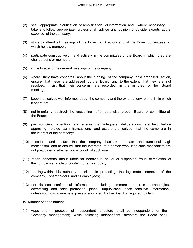- (2) seek appropriate clarification or amplification of information and, where necessary, take and follow appropriate professional advice and opinion of outside experts at the expense of the company;
- (3) strive to attend all meetings of the Board of Directors and of the Board committees of which he is a member;
- (4) participate constructively and actively in the committees of the Board in which they are chairpersons or members;
- (5) strive to attend the general meetings of the company;
- (6) where they have concerns about the running of the company or a proposed action, ensure that these are addressed by the Board and, to the extent that they are not resolved, insist that their concerns are recorded in the minutes of the Board meeting;
- (7) keep themselves well informed about the company and the external environment in which it operates;
- (8) not to unfairly obstruct the functioning of an otherwise proper Board or committee of the Board;
- (9) pay sufficient attention and ensure that adequate deliberations are held before approving related party transactions and assure themselves that the same are in the interest of the company;
- (10) ascertain and ensure that the company has an adequate and functional vigil mechanism and to ensure that the interests of a person who uses such mechanism are not prejudicially affected on account of such use;
- (11) report concerns about unethical behaviour, actual or suspected fraud or violation of the company's code of conduct or ethics policy;
- (12) acting within his authority, assist in protecting the legitimate interests of the company, shareholders and its employees;
- (13) not disclose confidential information, including commercial secrets, technologies, advertising and sales promotion plans, unpublished price sensitive information, unless such disclosure is expressly approved by the Board or required by law.
- IV. Manner of appointment:
- (1) Appointment process of independent directors shall be independent of the Company management; while selecting independent directors the Board shall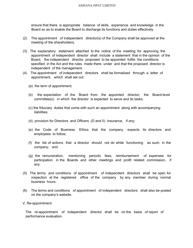ensure that there is appropriate balance of skills, experience and knowledge in the Board so as to enable the Board to discharge its functions and duties effectively.

- (2) The appointment of independent director(s) of the Company shall be approved at the meeting of the shareholders.
- (3) The explanatory statement attached to the notice of the meeting for approving the appointment of independent director shall include a statement that in the opinion of the Board, the independent director proposed to be appointed fulfils the conditions specified in the Act and the rules made there under and that the proposed director is independent of the management.
- (4) The appointment of independent directors shall be formalized through a letter of appointment, which shall set out:
	- (a) the term of appointment;
	- (b) the expectation of the Board from the appointed director; the Board-level committee(s) in which the director is expected to serve and its tasks;
	- (c) the fiduciary duties that come with such an appointment along with accompanying liabilities;
	- (d) provision for Directors and Officers (D and 0) insurance, if any;
	- (e) the Code of Business Ethics that the company expects its directors and employees to follow;
	- (f) the list of actions that a director should not do while functioning as such in the company; and
	- (g) the remuneration, mentioning periodic fees, reimbursement of expenses for participation in the Boards and other meetings and profit related commission, if any.
- (5) The terms and conditions of appointment of independent directors shall be open for inspection at the registered office of the company by any member during normal business hours.
- (6) The terms and conditions of appointment of independent directors shall also be posted on the company's website.

#### V. Re-appointment:

The re-appointment of independent director shall be on the basis of report of performance evaluation.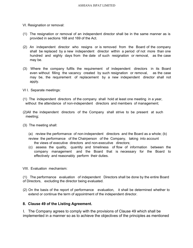- VI. Resignation or removal:
- (1) The resignation or removal of an independent director shall be in the same manner as is provided in sections 168 and 169 of the Act.
- (2) An independent director who resigns or is removed from the Board of the company shall be replaced by a new independent director within a period of not more than one hundred and eighty days from the date of such resignation or removal, as the case may be.
- (3) Where the company fulfils the requirement of independent directors in its Board even without filling the vacancy created by such resignation or removal, as the case may be, the requirement of replacement by a new independent director shall not apply.
- VI I. Separate meetings:
- (1) The independent directors of the company shall hold at least one meeting in a year, without the attendance of non-independent directors and members of management;
- (2)All the independent directors of the Company shall strive to be present at such meeting;
- (3) The meeting shall:

(a) review the performance of non-independent directors and the Board as a whole; (b) review the performance of the Chairperson of the Company, taking into account the views of executive directors and non-executive directors;

- (c) assess the quality, quantity and timeliness of flow of information between the company management and the Board that is necessary for the Board to effectively and reasonably perform their duties.
- VIII. Evaluation mechanism:

(1) The performance evaluation of independent Directors shall be done by the entire Board of Directors, excluding the director being evaluated.

(2) On the basis of the report of performance evaluation, it shall be determined whether to extend or continue the term of appointment of the independent director.

### **8. Clause 49 of the Listing Agreement.**

I. The Company agrees to comply with the provisions of Clause 49 which shall be implemented in a manner so as to achieve the objectives of the principles as mentioned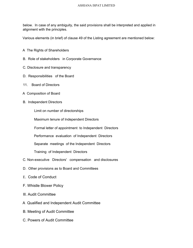#### ASHIANA ISPAT LIMITED

below. In case of any ambiguity, the said provisions shall be interpreted and applied in alignment with the principles.

Various elements (in brief) of clause 49 of the Listing agreement are mentioned below:

- A The Rights of Shareholders
- B. Role of stakeholders in Corporate Governance
- C. Disclosure and transparency
- D. Responsibilities of the Board
- 11. Board of Directors
- A Composition of Board
- B. Independent Directors

Limit on number of directorships

Maximum tenure of Independent Directors

Formal letter of appointment to Independent Directors

Performance evaluation of Independent Directors

Separate meetings of the Independent Directors

Training of Independent Directors

- C. Non-executive Directors' compensation and disclosures
- D. Other provisions as to Board and Committees
- E. Code of Conduct
- F. Whistle Blower Policy
- Ill. Audit Committee
- A Qualified and Independent Audit Committee
- B. Meeting of Audit Committee
- C. Powers of Audit Committee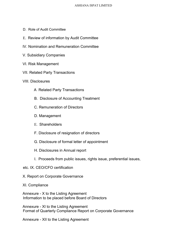#### ASHIANA ISPAT LIMITED

- D. Role of Audit Committee
- E. Review of information by Audit Committee
- IV. Nomination and Remuneration Committee
- V. Subsidiary Companies
- VI. Risk Management
- VII. Related Party Transactions
- VIII. Disclosures
	- A Related Party Transactions
	- B. Disclosure of Accounting Treatment
	- C. Remuneration of Directors
	- D. Management
	- E. Shareholders
	- F. Disclosure of resignation of directors
	- G. Disclosure of formal letter of appointment
	- H. Disclosures in Annual report
	- I. Proceeds from public issues, rights issue, preferential issues,

## etc. IX. CEO/CFO certification

- X. Report on Corporate Governance
- XI. Compliance

Annexure - X to the Listing Agreement Information to be placed before Board of Directors

Annexure - XI to the Listing Agreement Format of Quarterly Compliance Report on Corporate Governance

Annexure - XII to the Listing Agreement